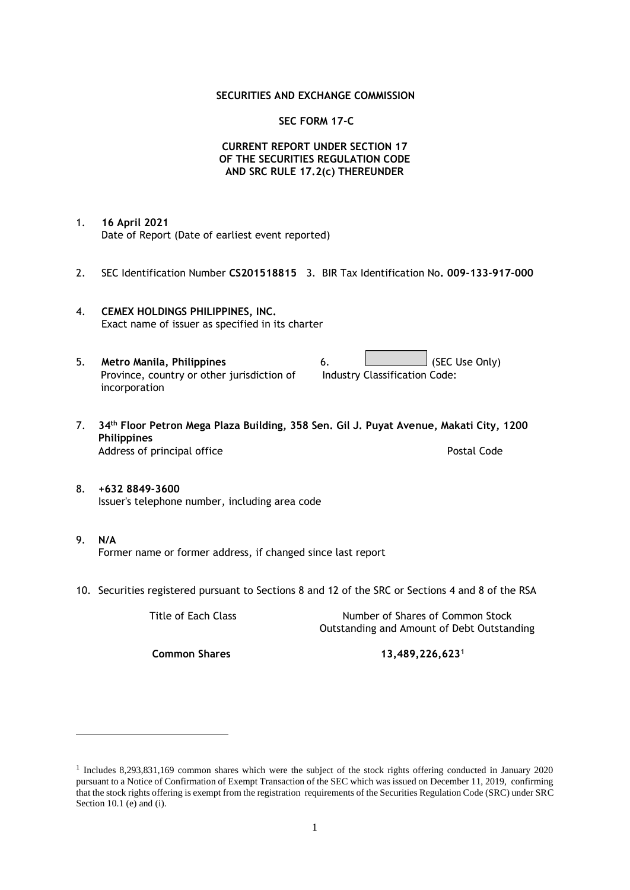### **SECURITIES AND EXCHANGE COMMISSION**

### **SEC FORM 17-C**

## **CURRENT REPORT UNDER SECTION 17 OF THE SECURITIES REGULATION CODE AND SRC RULE 17.2(c) THEREUNDER**

- 1. **16 April 2021** Date of Report (Date of earliest event reported)
- 2. SEC Identification Number **CS201518815** 3. BIR Tax Identification No**. 009-133-917-000**
- 4. **CEMEX HOLDINGS PHILIPPINES, INC.** Exact name of issuer as specified in its charter
- 5. **Metro Manila, Philippines** 6. **Consumers 6.** (SEC Use Only) Province, country or other jurisdiction of incorporation Industry Classification Code:
- 7. **34th Floor Petron Mega Plaza Building, 358 Sen. Gil J. Puyat Avenue, Makati City, 1200 Philippines** Address of principal office **Postal Code** Postal Code
- 8. **+632 8849-3600** Issuer's telephone number, including area code
- 9. **N/A** Former name or former address, if changed since last report
- 10. Securities registered pursuant to Sections 8 and 12 of the SRC or Sections 4 and 8 of the RSA

Title of Each Class Number of Shares of Common Stock Outstanding and Amount of Debt Outstanding

**Common Shares 13,489,226,623<sup>1</sup>**

<sup>1</sup> Includes 8,293,831,169 common shares which were the subject of the stock rights offering conducted in January 2020 pursuant to a Notice of Confirmation of Exempt Transaction of the SEC which was issued on December 11, 2019, confirming that the stock rights offering is exempt from the registration requirements of the Securities Regulation Code (SRC) under SRC Section 10.1 (e) and (i).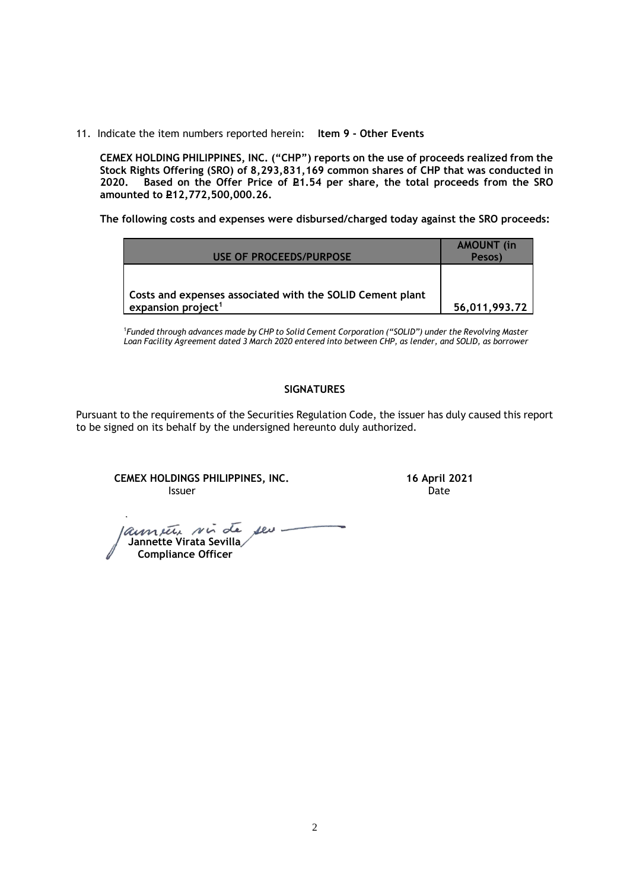11. Indicate the item numbers reported herein: **Item 9 - Other Events**

**CEMEX HOLDING PHILIPPINES, INC. ("CHP") reports on the use of proceeds realized from the Stock Rights Offering (SRO) of 8,293,831,169 common shares of CHP that was conducted in**  Based on the Offer Price of £1.54 per share, the total proceeds from the SRO **amounted to P12,772,500,000.26.** 

**The following costs and expenses were disbursed/charged today against the SRO proceeds:**

| USE OF PROCEEDS/PURPOSE                                   | <b>AMOUNT</b> (in<br>Pesos) |
|-----------------------------------------------------------|-----------------------------|
| Costs and expenses associated with the SOLID Cement plant |                             |
| expansion project <sup>1</sup>                            | 56,011,993.72               |

<sup>1</sup>*Funded through advances made by CHP to Solid Cement Corporation ("SOLID") under the Revolving Master Loan Facility Agreement dated 3 March 2020 entered into between CHP, as lender, and SOLID, as borrower*

## **SIGNATURES**

Pursuant to the requirements of the Securities Regulation Code, the issuer has duly caused this report to be signed on its behalf by the undersigned hereunto duly authorized.

**CEMEX HOLDINGS PHILIPPINES, INC. 16 April 2021 Issuer Community Community Community** Community Community Community Community Community Community Community Comm

launeur sui de seu- **Jannette Virata Sevilla Compliance Officer**